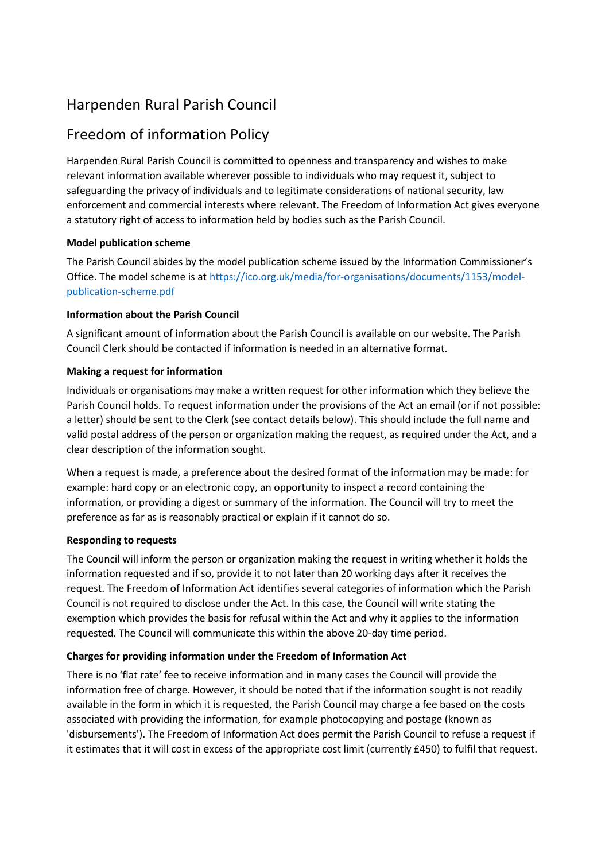# Harpenden Rural Parish Council

# Freedom of information Policy

Harpenden Rural Parish Council is committed to openness and transparency and wishes to make relevant information available wherever possible to individuals who may request it, subject to safeguarding the privacy of individuals and to legitimate considerations of national security, law enforcement and commercial interests where relevant. The Freedom of Information Act gives everyone a statutory right of access to information held by bodies such as the Parish Council.

# **Model publication scheme**

The Parish Council abides by the model publication scheme issued by the Information Commissioner's Office. The model scheme is at [https://ico.org.uk/media/for-organisations/documents/1153/model](https://ico.org.uk/media/for-organisations/documents/1153/model-publication-scheme.pdf)[publication-scheme.pdf](https://ico.org.uk/media/for-organisations/documents/1153/model-publication-scheme.pdf)

# **Information about the Parish Council**

A significant amount of information about the Parish Council is available on our website. The Parish Council Clerk should be contacted if information is needed in an alternative format.

#### **Making a request for information**

Individuals or organisations may make a written request for other information which they believe the Parish Council holds. To request information under the provisions of the Act an email (or if not possible: a letter) should be sent to the Clerk (see contact details below). This should include the full name and valid postal address of the person or organization making the request, as required under the Act, and a clear description of the information sought.

When a request is made, a preference about the desired format of the information may be made: for example: hard copy or an electronic copy, an opportunity to inspect a record containing the information, or providing a digest or summary of the information. The Council will try to meet the preference as far as is reasonably practical or explain if it cannot do so.

# **Responding to requests**

The Council will inform the person or organization making the request in writing whether it holds the information requested and if so, provide it to not later than 20 working days after it receives the request. The Freedom of Information Act identifies several categories of information which the Parish Council is not required to disclose under the Act. In this case, the Council will write stating the exemption which provides the basis for refusal within the Act and why it applies to the information requested. The Council will communicate this within the above 20-day time period.

# **Charges for providing information under the Freedom of Information Act**

There is no 'flat rate' fee to receive information and in many cases the Council will provide the information free of charge. However, it should be noted that if the information sought is not readily available in the form in which it is requested, the Parish Council may charge a fee based on the costs associated with providing the information, for example photocopying and postage (known as 'disbursements'). The Freedom of Information Act does permit the Parish Council to refuse a request if it estimates that it will cost in excess of the appropriate cost limit (currently £450) to fulfil that request.